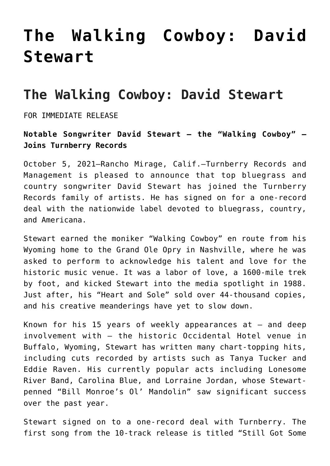## **[The Walking Cowboy: David](https://thebluegrassstandard.com/the-walking-cowboy-david-stewart/) [Stewart](https://thebluegrassstandard.com/the-walking-cowboy-david-stewart/)**

## **The Walking Cowboy: David Stewart**

FOR IMMEDIATE RELEASE

## **Notable Songwriter David Stewart — the "Walking Cowboy" — Joins Turnberry Records**

October 5, 2021–Rancho Mirage, Calif.–Turnberry Records and Management is pleased to announce that top bluegrass and country songwriter David Stewart has joined the Turnberry Records family of artists. He has signed on for a one-record deal with the nationwide label devoted to bluegrass, country, and Americana.

Stewart earned the moniker "Walking Cowboy" en route from his Wyoming home to the Grand Ole Opry in Nashville, where he was asked to perform to acknowledge his talent and love for the historic music venue. It was a labor of love, a 1600-mile trek by foot, and kicked Stewart into the media spotlight in 1988. Just after, his "Heart and Sole" sold over 44-thousand copies, and his creative meanderings have yet to slow down.

Known for his 15 years of weekly appearances  $at - and deep$ involvement with — the historic Occidental Hotel venue in Buffalo, Wyoming, Stewart has written many chart-topping hits, including cuts recorded by artists such as Tanya Tucker and Eddie Raven. His currently popular acts including Lonesome River Band, Carolina Blue, and Lorraine Jordan, whose Stewartpenned "Bill Monroe's Ol' Mandolin" saw significant success over the past year.

Stewart signed on to a one-record deal with Turnberry. The first song from the 10-track release is titled "Still Got Some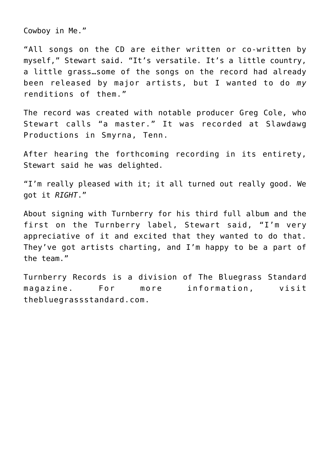Cowboy in Me."

"All songs on the CD are either written or co-written by myself," Stewart said. "It's versatile. It's a little country, a little grass…some of the songs on the record had already been released by major artists, but I wanted to do *my* renditions of them."

The record was created with notable producer Greg Cole, who Stewart calls "a master." It was recorded at Slawdawg Productions in Smyrna, Tenn.

After hearing the forthcoming recording in its entirety, Stewart said he was delighted.

"I'm really pleased with it; it all turned out really good. We got it *RIGHT*."

About signing with Turnberry for his third full album and the first on the Turnberry label, Stewart said, "I'm very appreciative of it and excited that they wanted to do that. They've got artists charting, and I'm happy to be a part of the team."

Turnberry Records is a division of The Bluegrass Standard magazine. For more information, visit thebluegrassstandard.com.